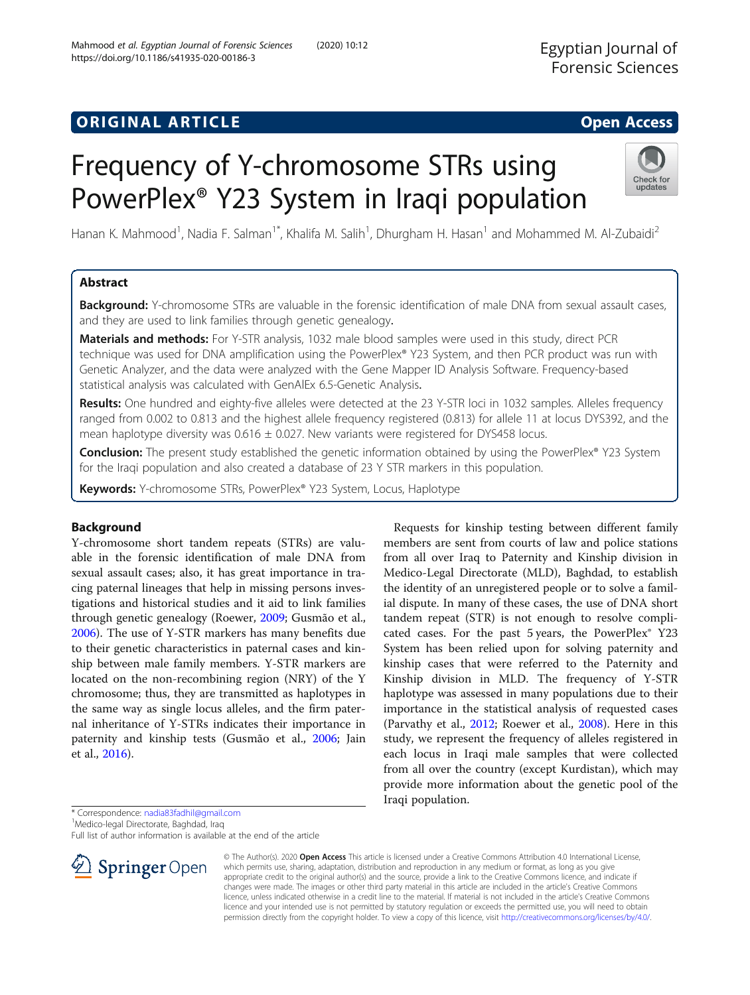# **ORIGINAL ARTICLE CONSERVANCE IN A LOCAL CONSERVANCE IN A LOCAL CONSERVANCE IN A LOCAL CONSERVANCE IN A LOCAL CONS**

# Frequency of Y-chromosome STRs using PowerPlex® Y23 System in Iraqi population

Hanan K. Mahmood<sup>1</sup>, Nadia F. Salman<sup>1\*</sup>, Khalifa M. Salih<sup>1</sup>, Dhurgham H. Hasan<sup>1</sup> and Mohammed M. Al-Zubaidi<sup>2</sup>

# Abstract

Background: Y-chromosome STRs are valuable in the forensic identification of male DNA from sexual assault cases, and they are used to link families through genetic genealogy.

Materials and methods: For Y-STR analysis, 1032 male blood samples were used in this study, direct PCR technique was used for DNA amplification using the PowerPlex® Y23 System, and then PCR product was run with Genetic Analyzer, and the data were analyzed with the Gene Mapper ID Analysis Software. Frequency-based statistical analysis was calculated with GenAlEx 6.5-Genetic Analysis.

Results: One hundred and eighty-five alleles were detected at the 23 Y-STR loci in 1032 samples. Alleles frequency ranged from 0.002 to 0.813 and the highest allele frequency registered (0.813) for allele 11 at locus DYS392, and the mean haplotype diversity was  $0.616 \pm 0.027$ . New variants were registered for DYS458 locus.

Conclusion: The present study established the genetic information obtained by using the PowerPlex® Y23 System for the Iraqi population and also created a database of 23 Y STR markers in this population.

Keywords: Y-chromosome STRs, PowerPlex® Y23 System, Locus, Haplotype

## Background

Y-chromosome short tandem repeats (STRs) are valuable in the forensic identification of male DNA from sexual assault cases; also, it has great importance in tracing paternal lineages that help in missing persons investigations and historical studies and it aid to link families through genetic genealogy (Roewer, [2009](#page-7-0); Gusmão et al., [2006](#page-7-0)). The use of Y-STR markers has many benefits due to their genetic characteristics in paternal cases and kinship between male family members. Y-STR markers are located on the non-recombining region (NRY) of the Y chromosome; thus, they are transmitted as haplotypes in the same way as single locus alleles, and the firm paternal inheritance of Y-STRs indicates their importance in paternity and kinship tests (Gusmão et al., [2006;](#page-7-0) Jain et al., [2016](#page-7-0)).

Requests for kinship testing between different family members are sent from courts of law and police stations from all over Iraq to Paternity and Kinship division in Medico-Legal Directorate (MLD), Baghdad, to establish the identity of an unregistered people or to solve a familial dispute. In many of these cases, the use of DNA short tandem repeat (STR) is not enough to resolve complicated cases. For the past 5 years, the PowerPlex® Y23 System has been relied upon for solving paternity and kinship cases that were referred to the Paternity and Kinship division in MLD. The frequency of Y-STR haplotype was assessed in many populations due to their importance in the statistical analysis of requested cases (Parvathy et al., [2012;](#page-7-0) Roewer et al., [2008](#page-7-0)). Here in this study, we represent the frequency of alleles registered in each locus in Iraqi male samples that were collected from all over the country (except Kurdistan), which may provide more information about the genetic pool of the Iraqi population.

\* Correspondence: [nadia83fadhil@gmail.com](mailto:nadia83fadhil@gmail.com) <sup>1</sup>

<sup>1</sup>Medico-legal Directorate, Baghdad, Iraq

Full list of author information is available at the end of the article





© The Author(s). 2020 Open Access This article is licensed under a Creative Commons Attribution 4.0 International License,



updates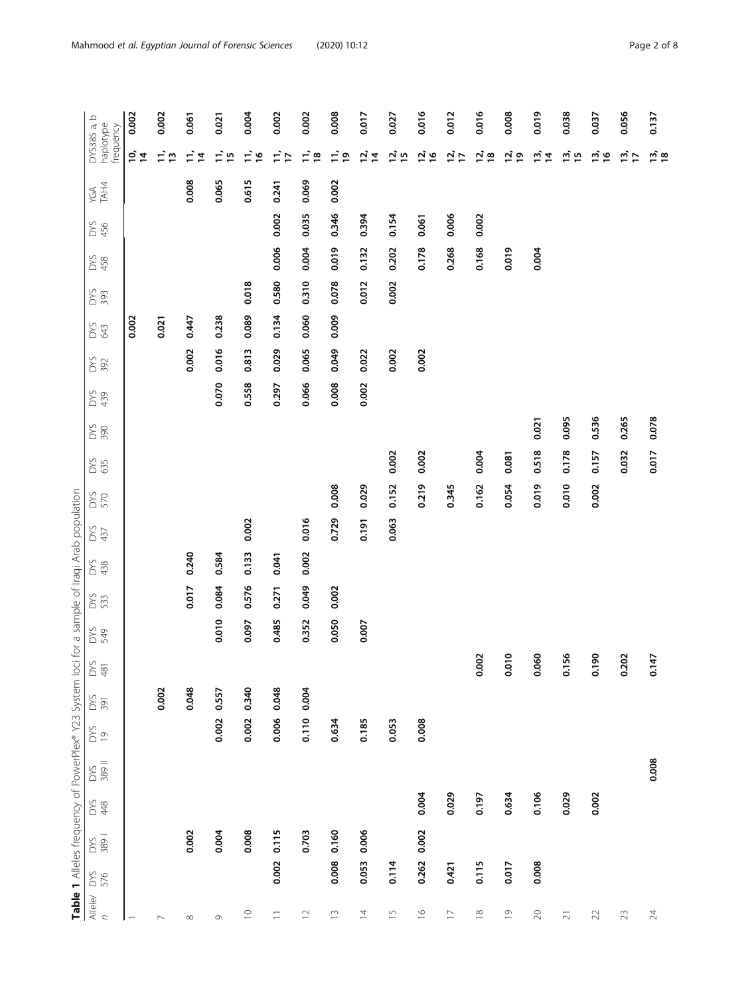<span id="page-1-0"></span>

|                                                                                               | $\mathbf \Omega$<br>DYS385 a,<br>haplotype<br>frequency | 0.002         | 0.002                    | 0.061                | 0.021       | 0.004           | 0.002         | 0.002                       | 0.008               | 0.017                | 0.027          | 0.016              | 0.012               | 0.016               | 0.008          | 0.019                       | 0.038             | 0.037          | 0.056         |
|-----------------------------------------------------------------------------------------------|---------------------------------------------------------|---------------|--------------------------|----------------------|-------------|-----------------|---------------|-----------------------------|---------------------|----------------------|----------------|--------------------|---------------------|---------------------|----------------|-----------------------------|-------------------|----------------|---------------|
|                                                                                               |                                                         | $\frac{1}{2}$ | =ີ ລ                     | Ξ,<br>$\overline{4}$ | $\Xi$ 50    | $\Xi$ $\approx$ | $\frac{1}{1}$ | $\frac{1}{2}$ $\frac{1}{2}$ | $\vec{=}$ $\vec{=}$ | $\overrightarrow{a}$ | <u>is</u> is   | 5 16               | $\vec{a}$ $\vec{c}$ | $\vec{a}$ $\vec{a}$ | ة ق            | $\frac{1}{2}$ $\frac{1}{4}$ | ച് പ              | $\vec{a}$ is   | $\frac{m}{L}$ |
|                                                                                               | TAH4<br>YGA                                             |               |                          | 0.008                | 0.065       | 0.615           | 0.241         | 0.069                       | 0.002               |                      |                |                    |                     |                     |                |                             |                   |                |               |
|                                                                                               | DYS<br>456                                              |               |                          |                      |             |                 | 0.002         | 0.035                       | 0.346               | 0.394                | 0.154          | 0.061              | 0.006               | 0.002               |                |                             |                   |                |               |
|                                                                                               | DYS<br>458                                              |               |                          |                      |             |                 | 0.006         | 0.004                       | 0.019               | 0.132                | 0.202          | 0.178              | 0.268               | 0.168               | 0.019          | 0.004                       |                   |                |               |
|                                                                                               | DYS<br>393                                              |               |                          |                      |             | 0.018           | 0.580         | 0.310                       | 0.078               | 0.012                | 0.002          |                    |                     |                     |                |                             |                   |                |               |
|                                                                                               | DYS<br>643                                              | 0.002         | 0.021                    | 0.447                | 0.238       | 0.089           | 0.134         | 0.060                       | 0.009               |                      |                |                    |                     |                     |                |                             |                   |                |               |
|                                                                                               | DYS<br>392                                              |               |                          | 0.002                | 0.016       | 0.813           | 0.029         | 0.065                       | 0.049               | 0.022                | 0.002          | 0.002              |                     |                     |                |                             |                   |                |               |
|                                                                                               | DYS<br>439                                              |               |                          |                      | 0.070       | 0.558           | 0.297         | 0.066                       | 0.008               | 0.002                |                |                    |                     |                     |                |                             |                   |                |               |
|                                                                                               | DYS<br>390                                              |               |                          |                      |             |                 |               |                             |                     |                      |                |                    |                     |                     |                | 0.021                       | 0.095             | 0.536          | 0.265         |
|                                                                                               | DYS<br>635                                              |               |                          |                      |             |                 |               |                             |                     |                      | 0.002          | 0.002              |                     | 0.004               | 0.081          | 0.518                       | 0.178             | 0.157          | 0.032         |
|                                                                                               | <b>DYS</b>                                              |               |                          |                      |             |                 |               |                             | 0.008               | 0.029                | 0.152          | 0.219              | 0.345               | 0.162               | 0.054          | 0.019                       | 0.010             | 0.002          |               |
|                                                                                               |                                                         |               |                          |                      |             | 0.002           |               | 0.016                       | 0.729               | 0.191                | 0.063          |                    |                     |                     |                |                             |                   |                |               |
|                                                                                               | DYS<br>437                                              |               |                          |                      |             | 0.133           |               | 0.002                       |                     |                      |                |                    |                     |                     |                |                             |                   |                |               |
|                                                                                               | DYS<br>438                                              |               |                          | 0.240                | 0.584       |                 | 0.041         |                             |                     |                      |                |                    |                     |                     |                |                             |                   |                |               |
|                                                                                               | <b>DYS</b>                                              |               |                          | 0.017                | 0.084       | 0.576           | 0.271         | 0.049                       | 0.002               |                      |                |                    |                     |                     |                |                             |                   |                |               |
|                                                                                               | DYS<br>549                                              |               |                          |                      | 0.010       | 0.097           | 0.485         | 0.352                       | 0.050               | 0.007                |                |                    |                     |                     |                |                             |                   |                |               |
|                                                                                               | <b>DYS</b><br>481                                       |               |                          |                      |             |                 |               |                             |                     |                      |                |                    |                     | 0.002               | 0.010          | 0.060                       | 0.156             | 0.190          | 0.202         |
|                                                                                               | <b>DYS</b><br>391                                       |               | 0.002                    | 0.048                | 0.002 0.557 | 0.340           | 0.048         | 0.004                       |                     |                      |                |                    |                     |                     |                |                             |                   |                |               |
|                                                                                               | <b>DYS</b><br>$\overline{0}$                            |               |                          |                      |             | 0.002           | 0.006         | 0.110                       | 0.634               | 0.185                | 0.053          | 0.008              |                     |                     |                |                             |                   |                |               |
| Table 1 Alleles frequency of PowerPlex® Y23 System loci for a sample of Iraqi Arab population | DYS<br>389 II                                           |               |                          |                      |             |                 |               |                             |                     |                      |                |                    |                     |                     |                |                             |                   |                |               |
|                                                                                               | <b>S 48</b>                                             |               |                          |                      |             |                 |               |                             |                     |                      |                | 0.004              | 0.029               | 0.197               | 0.634          | 0.106                       | 0.029             | 0.002          |               |
|                                                                                               | DYS<br>389 I                                            |               |                          | 0.002                | 0.004       | 0.008           | 0.115         | 0.703                       | 0.160               | 0.006                |                | 0.002              |                     |                     |                |                             |                   |                |               |
|                                                                                               | DYS<br>576                                              |               |                          |                      |             |                 | 0.002         |                             | 0.008               | 0.053                | 0.114          | 0.262              | 0.421               | 0.115               | 0.017          | 0.008                       |                   |                |               |
|                                                                                               | Allele/                                                 |               |                          |                      |             |                 |               |                             |                     |                      |                |                    |                     |                     |                |                             |                   |                |               |
|                                                                                               | $\mathbf{r}$                                            |               | $\overline{\phantom{0}}$ | $\infty$             | $\circ$     | $\supseteq$     | $\equiv$      | $\supseteq$                 | $\widetilde{\Box}$  | $\overline{4}$       | $\overline{1}$ | $\frac{\infty}{2}$ | $\overline{1}$      | $\approx$           | $\overline{0}$ | $\gtrsim$                   | $\overline{\sim}$ | $\mathfrak{D}$ | 23            |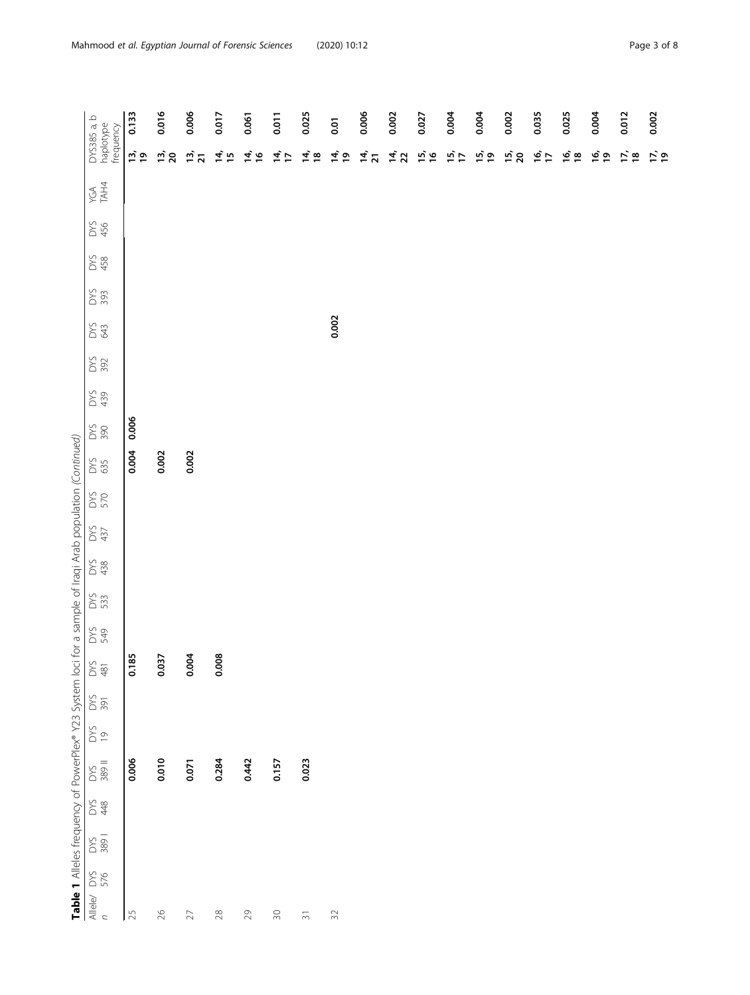|                                                                                                           | DYS385 a, b<br>haplotype<br>frequency | 0.133         | 0.016           | 0.006           | 0.017            | 0.061           | 0.011                       | 0.025                    | 0.01                        | 0.006         | 0.002  | 0.027 | 0.004           | 0.004           | 0.002  | 0.035         | 0.025           |
|-----------------------------------------------------------------------------------------------------------|---------------------------------------|---------------|-----------------|-----------------|------------------|-----------------|-----------------------------|--------------------------|-----------------------------|---------------|--------|-------|-----------------|-----------------|--------|---------------|-----------------|
|                                                                                                           |                                       | $\frac{1}{2}$ | $\frac{13}{20}$ | $\frac{13}{21}$ | $\frac{1}{4}$ iv | $\frac{4}{3}$ & | $\frac{4}{5}$ $\frac{1}{5}$ | $\vec{a}$ is             | $\frac{4}{5}$ $\frac{6}{5}$ | $\frac{4}{2}$ | 14, 22 | 15/16 | $\frac{15}{17}$ | $\frac{15}{19}$ | 15, 20 | $\frac{6}{1}$ | $\frac{16}{18}$ |
|                                                                                                           | TAH4<br>YGA                           |               |                 |                 |                  |                 |                             |                          |                             |               |        |       |                 |                 |        |               |                 |
|                                                                                                           | DYS<br>456                            |               |                 |                 |                  |                 |                             |                          |                             |               |        |       |                 |                 |        |               |                 |
|                                                                                                           | DYS<br>458                            |               |                 |                 |                  |                 |                             |                          |                             |               |        |       |                 |                 |        |               |                 |
|                                                                                                           | DYS<br>393                            |               |                 |                 |                  |                 |                             |                          |                             |               |        |       |                 |                 |        |               |                 |
|                                                                                                           | S 33                                  |               |                 |                 |                  |                 |                             |                          | 0.002                       |               |        |       |                 |                 |        |               |                 |
|                                                                                                           | <b>DYS</b>                            |               |                 |                 |                  |                 |                             |                          |                             |               |        |       |                 |                 |        |               |                 |
|                                                                                                           | DYS<br>439                            |               |                 |                 |                  |                 |                             |                          |                             |               |        |       |                 |                 |        |               |                 |
|                                                                                                           | DYS<br>390                            | 0.006         |                 |                 |                  |                 |                             |                          |                             |               |        |       |                 |                 |        |               |                 |
|                                                                                                           | <b>DYS</b>                            | 0.004         | 0.002           | 0.002           |                  |                 |                             |                          |                             |               |        |       |                 |                 |        |               |                 |
|                                                                                                           | <b>DYS</b>                            |               |                 |                 |                  |                 |                             |                          |                             |               |        |       |                 |                 |        |               |                 |
|                                                                                                           | DYS<br>437                            |               |                 |                 |                  |                 |                             |                          |                             |               |        |       |                 |                 |        |               |                 |
|                                                                                                           | DYS<br>438                            |               |                 |                 |                  |                 |                             |                          |                             |               |        |       |                 |                 |        |               |                 |
|                                                                                                           | <b>DYS</b><br>533                     |               |                 |                 |                  |                 |                             |                          |                             |               |        |       |                 |                 |        |               |                 |
|                                                                                                           | DYS<br>S49                            |               |                 |                 |                  |                 |                             |                          |                             |               |        |       |                 |                 |        |               |                 |
|                                                                                                           | $\frac{5}{481}$                       | 0.185         | 0.037           | 0.004           | 0.008            |                 |                             |                          |                             |               |        |       |                 |                 |        |               |                 |
|                                                                                                           | $\frac{52}{2}$                        |               |                 |                 |                  |                 |                             |                          |                             |               |        |       |                 |                 |        |               |                 |
|                                                                                                           | $\frac{6}{50}$                        |               |                 |                 |                  |                 |                             |                          |                             |               |        |       |                 |                 |        |               |                 |
|                                                                                                           | DYS<br>389 II                         | 0.006         | 0.010           | 0.071           | 0.284            | 0.442           | 0.157                       | 0.023                    |                             |               |        |       |                 |                 |        |               |                 |
|                                                                                                           | DX<br>8 \$                            |               |                 |                 |                  |                 |                             |                          |                             |               |        |       |                 |                 |        |               |                 |
|                                                                                                           | <b>SSE</b><br>389                     |               |                 |                 |                  |                 |                             |                          |                             |               |        |       |                 |                 |        |               |                 |
| Table 1 Alleles frequency of PowerPlex® Y23 System loci for a sample of Iraqi Arab population (Continued) | Allele/ $DYS$<br>$n$ 576              | 25            | $\geqslant$     | $\geq$          | $28\,$           | $29$            | $\Im \mathrm{O}$            | $\overline{\mathcal{E}}$ | $\Im 2$                     |               |        |       |                 |                 |        |               |                 |

0.002

ي يون يون

0.012

0.004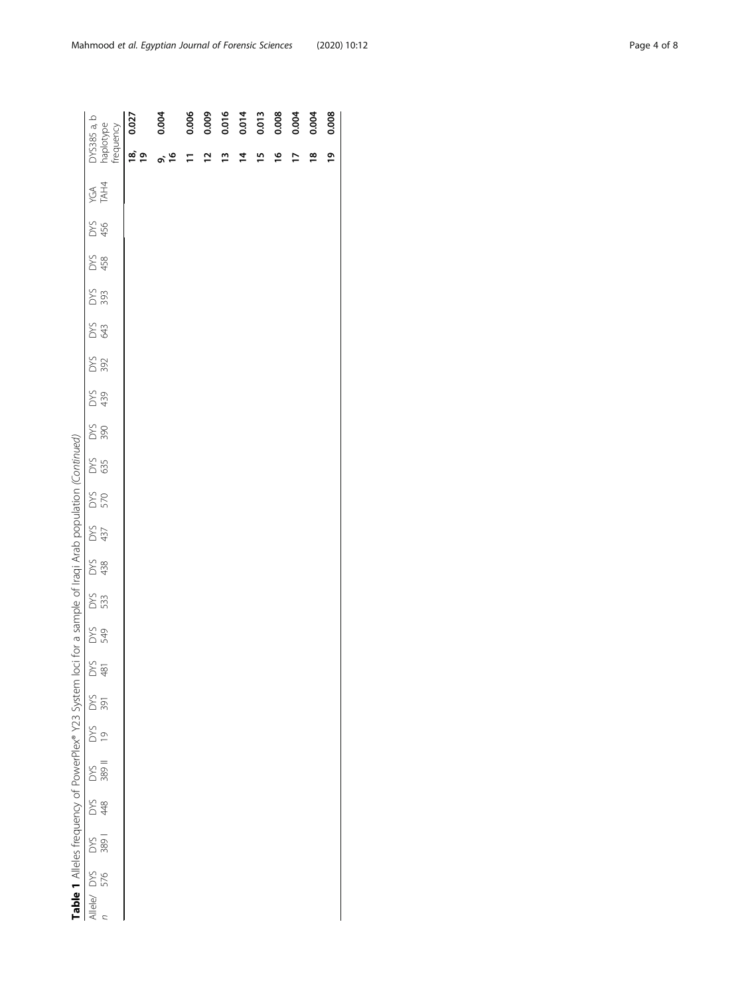| ١                                                                                  |
|------------------------------------------------------------------------------------|
| h                                                                                  |
|                                                                                    |
|                                                                                    |
| $\overline{\phantom{a}}$<br>$\overline{\phantom{a}}$                               |
|                                                                                    |
| í                                                                                  |
|                                                                                    |
| I                                                                                  |
| ï<br>I<br>ļ                                                                        |
| l                                                                                  |
| j                                                                                  |
|                                                                                    |
| Ĭ                                                                                  |
| $\frac{2}{3}$                                                                      |
| Ì<br>j                                                                             |
| ۱                                                                                  |
| ļ                                                                                  |
| į                                                                                  |
| ŗ<br>j<br>١                                                                        |
| 5<br>j                                                                             |
| 5                                                                                  |
|                                                                                    |
| j<br>)                                                                             |
| ţ                                                                                  |
| S                                                                                  |
| j<br>l                                                                             |
| )                                                                                  |
| ว<br>4                                                                             |
|                                                                                    |
| ξ                                                                                  |
| $\overline{\phantom{a}}$<br>Ó                                                      |
|                                                                                    |
| į<br>j                                                                             |
| l                                                                                  |
| $\ddot{\zeta}$<br>5                                                                |
| 1                                                                                  |
|                                                                                    |
| 1                                                                                  |
| ֖֖֖֚֚֚֚֚֚֚֬                                                                        |
|                                                                                    |
| נ<br>כ                                                                             |
| ֖֖֖֧֧֧֧֧֧֧֧֧֧֪ׅ֧֧֪ׅ֧֧֪ׅ֧֧֚֚֚֚֚֚֚֚֚֚֚֚֚֚֚֚֚֚֚֚֚֚֚֚֚֚֚֚֚֚֡֝֓֝֓֝֓֝֓֝֬֝֓֝֬֝֓֝֬֓֝֬֝֬֝֬֝ |
|                                                                                    |
| ۳                                                                                  |
| able                                                                               |
|                                                                                    |
| ļ                                                                                  |

| DYS385 a, b<br>haplotype<br>frequency | 0.027         | 0.004 | 0.006 | 0.009 |          | $0.016$<br>$0.014$<br>$0.013$ |    | 0.008 | 0.004 | 0.004         | 0.008 |
|---------------------------------------|---------------|-------|-------|-------|----------|-------------------------------|----|-------|-------|---------------|-------|
|                                       | $\frac{1}{2}$ | o, 10 | Ξ     | ≌     | <u>ی</u> | Ξ,                            | 51 | ٩     | ⊵     | $\frac{8}{1}$ | ۹,    |
| YGA<br>TAH4                           |               |       |       |       |          |                               |    |       |       |               |       |
| DYS<br>456                            |               |       |       |       |          |                               |    |       |       |               |       |
| DYS<br>458                            |               |       |       |       |          |                               |    |       |       |               |       |
| DYS<br>393                            |               |       |       |       |          |                               |    |       |       |               |       |
| <b>SES</b>                            |               |       |       |       |          |                               |    |       |       |               |       |
| DYS<br>392                            |               |       |       |       |          |                               |    |       |       |               |       |
| DYS<br>439                            |               |       |       |       |          |                               |    |       |       |               |       |
| DYS<br>390                            |               |       |       |       |          |                               |    |       |       |               |       |
| DYS<br>635                            |               |       |       |       |          |                               |    |       |       |               |       |
| <b>DYS</b>                            |               |       |       |       |          |                               |    |       |       |               |       |
| DYS<br>437                            |               |       |       |       |          |                               |    |       |       |               |       |
| DYS<br>438                            |               |       |       |       |          |                               |    |       |       |               |       |
| DYS<br>533                            |               |       |       |       |          |                               |    |       |       |               |       |
| DYS<br>S49                            |               |       |       |       |          |                               |    |       |       |               |       |
| DYS<br>481                            |               |       |       |       |          |                               |    |       |       |               |       |
| <b>DYS</b><br>391                     |               |       |       |       |          |                               |    |       |       |               |       |
| DYS<br>19                             |               |       |       |       |          |                               |    |       |       |               |       |
| DYS<br>389 II                         |               |       |       |       |          |                               |    |       |       |               |       |
| <b>DYS</b><br>28                      |               |       |       |       |          |                               |    |       |       |               |       |
| DYS<br>389 I                          |               |       |       |       |          |                               |    |       |       |               |       |
| Allele/ $DYS$<br>$76$                 |               |       |       |       |          |                               |    |       |       |               |       |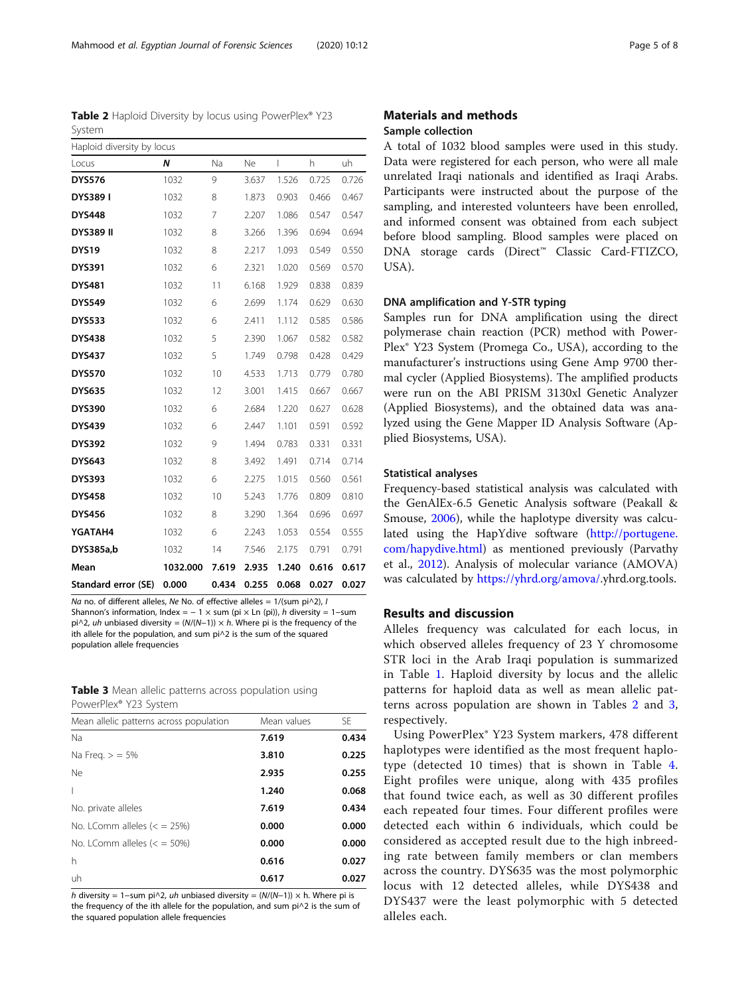Na no. of different alleles, Ne No. of effective alleles =  $1/(sum \pi/2)$ , I Shannon's information, Index =  $-1 \times$  sum (pi  $\times$  Ln (pi)), h diversity = 1–sum pi^2, uh unbiased diversity =  $(N/(N-1)) \times h$ . Where pi is the frequency of the ith allele for the population, and sum pi^2 is the sum of the squared population allele frequencies

|                                   |  |  | <b>Table 3</b> Mean allelic patterns across population using |  |
|-----------------------------------|--|--|--------------------------------------------------------------|--|
| PowerPlex <sup>®</sup> Y23 System |  |  |                                                              |  |

| Mean allelic patterns across population | Mean values | <b>SF</b> |
|-----------------------------------------|-------------|-----------|
| <b>Na</b>                               | 7.619       | 0.434     |
| Na Freq. $>$ = 5%                       | 3.810       | 0.225     |
| Ne                                      | 2.935       | 0.255     |
| $\overline{1}$                          | 1.240       | 0.068     |
| No. private alleles                     | 7.619       | 0.434     |
| No. LComm alleles $(= 25\%)$            | 0.000       | 0.000     |
| No. LComm alleles $(<$ = 50%)           | 0.000       | 0.000     |
| h                                       | 0.616       | 0.027     |
| uh                                      | 0.617       | 0.027     |
| .                                       |             |           |

h diversity = 1–sum pi^2, uh unbiased diversity =  $(N/(N-1)) \times h$ . Where pi is the frequency of the ith allele for the population, and sum pi^2 is the sum of the squared population allele frequencies

A total of 1032 blood samples were used in this study. Data were registered for each person, who were all male unrelated Iraqi nationals and identified as Iraqi Arabs. Participants were instructed about the purpose of the sampling, and interested volunteers have been enrolled, and informed consent was obtained from each subject before blood sampling. Blood samples were placed on DNA storage cards (Direct™ Classic Card-FTIZCO, USA).

#### DNA amplification and Y-STR typing

Samples run for DNA amplification using the direct polymerase chain reaction (PCR) method with Power-Plex® Y23 System (Promega Co., USA), according to the manufacturer's instructions using Gene Amp 9700 thermal cycler (Applied Biosystems). The amplified products were run on the ABI PRISM 3130xl Genetic Analyzer (Applied Biosystems), and the obtained data was analyzed using the Gene Mapper ID Analysis Software (Applied Biosystems, USA).

#### Statistical analyses

Frequency-based statistical analysis was calculated with the GenAlEx-6.5 Genetic Analysis software (Peakall & Smouse, [2006](#page-7-0)), while the haplotype diversity was calculated using the HapYdive software ([http://portugene.](http://portugene.com/hapydive.html) [com/hapydive.html](http://portugene.com/hapydive.html)) as mentioned previously (Parvathy et al., [2012\)](#page-7-0). Analysis of molecular variance (AMOVA) was calculated by [https://yhrd.org/amova/.](https://yhrd.org/amova/)yhrd.org.tools.

#### Results and discussion

Alleles frequency was calculated for each locus, in which observed alleles frequency of 23 Y chromosome STR loci in the Arab Iraqi population is summarized in Table [1.](#page-1-0) Haploid diversity by locus and the allelic patterns for haploid data as well as mean allelic patterns across population are shown in Tables 2 and 3, respectively.

Using PowerPlex® Y23 System markers, 478 different haplotypes were identified as the most frequent haplotype (detected 10 times) that is shown in Table [4](#page-5-0). Eight profiles were unique, along with 435 profiles that found twice each, as well as 30 different profiles each repeated four times. Four different profiles were detected each within 6 individuals, which could be considered as accepted result due to the high inbreeding rate between family members or clan members across the country. DYS635 was the most polymorphic locus with 12 detected alleles, while DYS438 and DYS437 were the least polymorphic with 5 detected alleles each.

Table 2 Haploid Diversity by locus using PowerPlex® Y23

Locus  $\begin{matrix} N \\ N \end{matrix}$  Na Ne I h uh DYS576 1032 9 3.637 1.526 0.725 0.726 **DYS389 I** 1032 8 1.873 0.903 0.466 0.467 **DYS448** 1032 7 2.207 1.086 0.547 0.547 **DYS389 II** 1032 8 3.266 1.396 0.694 0.694 DYS19 1032 8 2.217 1.093 0.549 0.550 **DYS391** 1032 6 2.321 1.020 0.569 0.570 **DYS481** 1032 11 6.168 1.929 0.838 0.839 **DYS549** 1032 6 2.699 1.174 0.629 0.630 **DYS533** 1032 6 2.411 1.112 0.585 0.586 **DYS438** 1032 5 2.390 1.067 0.582 0.582 **DYS437** 1032 5 1.749 0.798 0.428 0.429 **DYS570** 1032 10 4.533 1.713 0.779 0.780 **DYS635** 1032 12 3.001 1.415 0.667 0.667 **DYS390** 1032 6 2.684 1.220 0.627 0.628 **DYS439** 1032 6 2.447 1.101 0.591 0.592 **DYS392** 1032 9 1.494 0.783 0.331 0.331 DYS643 1032 8 3.492 1.491 0.714 0.714 **DYS393** 1032 6 2.275 1.015 0.560 0.561 **DYS458** 1032 10 5.243 1.776 0.809 0.810 **DYS456** 1032 8 3.290 1.364 0.696 0.697 **YGATAH4** 1032 6 2.243 1.053 0.554 0.555 DYS385a,b 1032 14 7.546 2.175 0.791 0.791 Mean 1032.000 7.619 2.935 1.240 0.616 0.617 Standard error (SE) 0.000 0.434 0.255 0.068 0.027 0.027

System

Haploid diversity by locus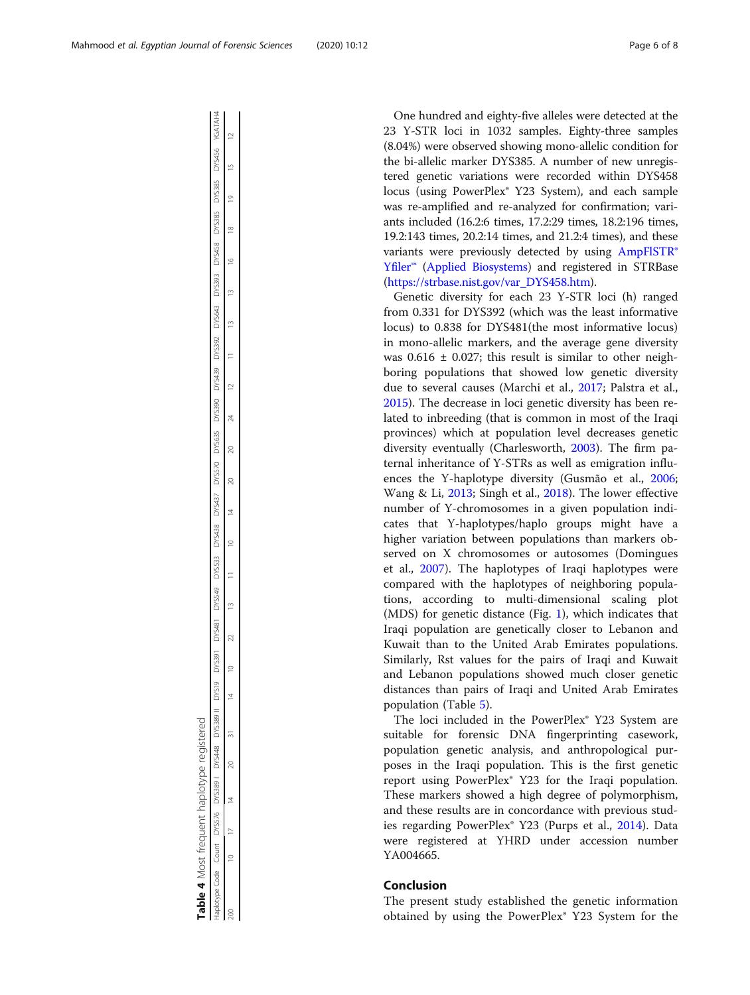One hundred and eighty-five alleles were detected at the 23 Y-STR loci in 1032 samples. Eighty-three samples (8.04%) were observed showing mono-allelic condition for the bi-allelic marker DYS385. A number of new unregistered genetic variations were recorded within DYS458 locus (using PowerPlex® Y23 System), and each sample was re-amplified and re-analyzed for confirmation; variants included (16.2:6 times, 17.2:29 times, 18.2:196 times, 19.2:143 times, 20.2:14 times, and 21.2:4 times), and these variants were previously detected by using [AmpFlSTR®](https://strbase.nist.gov/kits/Yfiler.htm) [Yfiler](https://strbase.nist.gov/kits/Yfiler.htm)™ ([Applied Biosystems](http://www.appliedbiosystems.com/applications/testing_identification/forensics_human_identification.cfm)) and registered in STRBase ([https://strbase.nist.gov/var\\_DYS458.htm\)](https://strbase.nist.gov/var_DYS458.htm).

Genetic diversity for each 23 Y-STR loci (h) ranged from 0.331 for DYS392 (which was the least informative locus) to 0.838 for DYS481(the most informative locus) in mono-allelic markers, and the average gene diversity was  $0.616 \pm 0.027$ ; this result is similar to other neighboring populations that showed low genetic diversity due to several causes (Marchi et al., [2017;](#page-7-0) Palstra et al., [2015](#page-7-0)). The decrease in loci genetic diversity has been related to inbreeding (that is common in most of the Iraqi provinces) which at population level decreases genetic diversity eventually (Charlesworth, [2003](#page-7-0)). The firm paternal inheritance of Y-STRs as well as emigration influences the Y-haplotype diversity (Gusmão et al., [2006](#page-7-0); Wang & Li, [2013](#page-7-0); Singh et al., [2018\)](#page-7-0). The lower effective number of Y-chromosomes in a given population indicates that Y-haplotypes/haplo groups might have a higher variation between populations than markers observed on X chromosomes or autosomes (Domingues et al., [2007](#page-7-0)). The haplotypes of Iraqi haplotypes were compared with the haplotypes of neighboring populations, according to multi-dimensional scaling plot (MDS) for genetic distance (Fig. [1](#page-6-0)), which indicates that Iraqi population are genetically closer to Lebanon and Kuwait than to the United Arab Emirates populations. Similarly, Rst values for the pairs of Iraqi and Kuwait and Lebanon populations showed much closer genetic distances than pairs of Iraqi and United Arab Emirates population (Table [5\)](#page-6-0).

The loci included in the PowerPlex® Y23 System are suitable for forensic DNA fingerprinting casework, population genetic analysis, and anthropological purposes in the Iraqi population. This is the first genetic report using PowerPlex® Y23 for the Iraqi population. These markers showed a high degree of polymorphism, and these results are in concordance with previous studies regarding PowerPlex® Y23 (Purps et al., [2014](#page-7-0)). Data were registered at YHRD under accession number YA004665.

### Conclusion

The present study established the genetic information obtained by using the PowerPlex® Y23 System for the

<span id="page-5-0"></span>

| i                   | j     | Ì<br>Ś<br>j |        | l<br>j        | ï<br>l<br>Ì<br>j<br>١ |                |             |        |                                                |               |        |               |        |               |        |           |        |        |               |           |                    |                |        |                     |
|---------------------|-------|-------------|--------|---------------|-----------------------|----------------|-------------|--------|------------------------------------------------|---------------|--------|---------------|--------|---------------|--------|-----------|--------|--------|---------------|-----------|--------------------|----------------|--------|---------------------|
| intuna <sup>'</sup> | -ount |             | DYS389 | $\frac{1}{2}$ |                       | <b>ANS19</b>   | DYS391      | DYS481 | DYS549                                         | <b>DYS533</b> | DYS438 | DYS437        | DYS570 | <b>DYS635</b> | DY5390 | DYS439    | DYS392 | DYS643 | <b>DYS393</b> | DYS458    | <b>DYS385</b>      | <b>DYS385</b>  | DYS456 | YGATAH4             |
| 200                 | ₽     | f           | 4      | R             | ï<br>i                | $\overline{a}$ | $\supseteq$ | 22     | ֧֧֧֚֚֚֚֚֚֚֚֚֚֚֚֚֚֚֚֚֚֚֚֚֚֚֚֚֚֚֚֚֚֚֚֝֡֡֡֡֡֝֓֞֡֝ |               | ≌      | $\frac{4}{1}$ | 20     | 20            | 24     | $\approx$ |        | ⋍      | í             | $\approx$ | $\frac{\infty}{2}$ | $\overline{0}$ | ĥ      | $\overline{a}$<br>ŗ |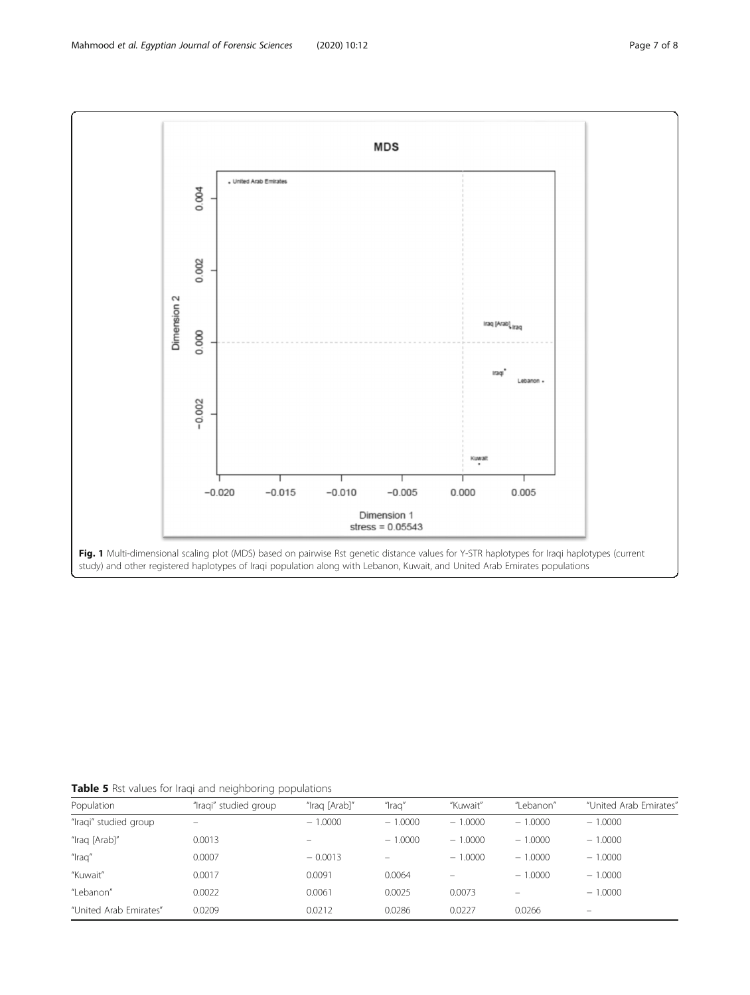<span id="page-6-0"></span>

Table 5 Rst values for Iraqi and neighboring populations

| Population             | "Iragi" studied group | "Iraq [Arab]" | "Iraq'    | "Kuwait"  | "Lebanon" | "United Arab Emirates"   |
|------------------------|-----------------------|---------------|-----------|-----------|-----------|--------------------------|
| "Iraqi" studied group  |                       | $-1.0000$     | $-1.0000$ | $-1.0000$ | $-1.0000$ | $-1.0000$                |
| "Iraq [Arab]"          | 0.0013                |               | $-1.0000$ | $-1.0000$ | $-1.0000$ | $-1.0000$                |
| "Iraq"                 | 0.0007                | $-0.0013$     |           | $-1.0000$ | $-1.0000$ | $-1.0000$                |
| "Kuwait"               | 0.0017                | 0.0091        | 0.0064    |           | $-1.0000$ | $-1.0000$                |
| "Lebanon"              | 0.0022                | 0.0061        | 0.0025    | 0.0073    |           | $-1.0000$                |
| "United Arab Emirates" | 0.0209                | 0.0212        | 0.0286    | 0.0227    | 0.0266    | $\overline{\phantom{0}}$ |